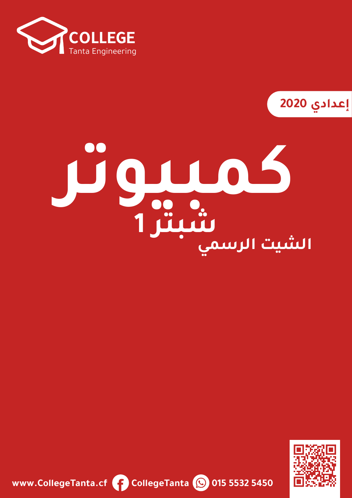

**2020**

# **كمبيوتر الشيت الرسميشبتر 1**



**www.CollegeTanta.cf CollegeTanta © 015 5532 5450**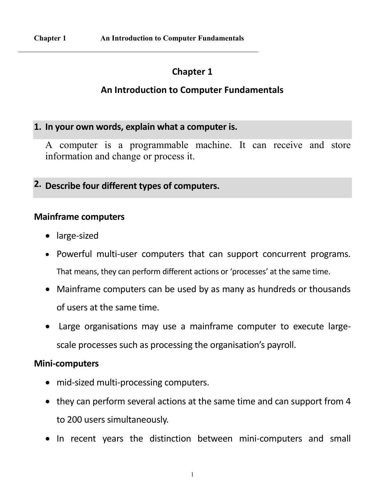# **Chapter 1**

## **An Introduction to Computer Fundamentals**

### **1. In your own words, explain what a computer is.**

A computer is a programmable machine. It can receive and store information and change or process it.

**2. Describe four different types of computers.**

### **Mainframe computers**

- large-sized
- Powerful multi-user computers that can support concurrent programs. That means, they can perform different actions or 'processes' at the same time.
- Mainframe computers can be used by as many as hundreds or thousands of users at the same time.
- Large organisations may use a mainframe computer to execute largescale processes such as processing the organisation's payroll.

### **Mini-computers**

- mid-sized multi-processing computers.
- they can perform several actions at the same time and can support from 4 to 200 users simultaneously.
- In recent years the distinction between mini-computers and small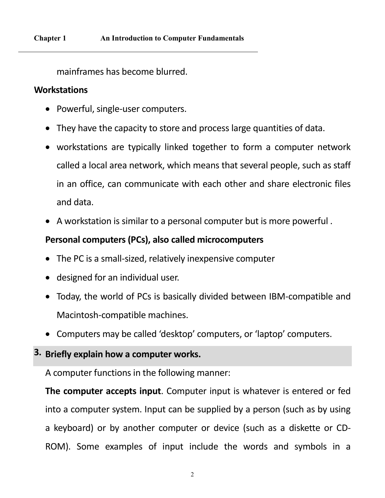mainframes has become blurred.

### **Workstations**

- Powerful, single-user computers.
- They have the capacity to store and process large quantities of data.
- workstations are typically linked together to form a computer network called a local area network, which means that several people, such as staff in an office, can communicate with each other and share electronic files and data.
- A workstation is similar to a personal computer but is more powerful .

# **Personal computers (PCs), also called microcomputers**

- The PC is a small-sized, relatively inexpensive computer
- designed for an individual user.
- Today, the world of PCs is basically divided between IBM-compatible and Macintosh-compatible machines.
- Computers may be called 'desktop' computers, or 'laptop' computers.

### **3. Briefly explain how a computer works.**

A computer functions in the following manner:

**The computer accepts input**. Computer input is whatever is entered or fed into a computer system. Input can be supplied by a person (such as by using a keyboard) or by another computer or device (such as a diskette or CD-ROM). Some examples of input include the words and symbols in a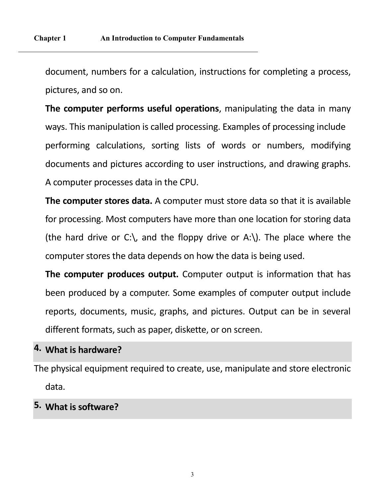document, numbers for a calculation, instructions for completing a process, pictures, and so on.

**The computer performs useful operations**, manipulating the data in many ways. This manipulation is called processing. Examples of processing include performing calculations, sorting lists of words or numbers, modifying documents and pictures according to user instructions, and drawing graphs. A computer processes data in the CPU.

**The computer stores data.** A computer must store data so that it is available for processing. Most computers have more than one location for storing data (the hard drive or C:), and the floppy drive or A:). The place where the computer stores the data depends on how the data is being used.

**The computer produces output.** Computer output is information that has been produced by a computer. Some examples of computer output include reports, documents, music, graphs, and pictures. Output can be in several different formats, such as paper, diskette, or on screen.

### **4. What is hardware?**

The physical equipment required to create, use, manipulate and store electronic data.

# **5. What is software?**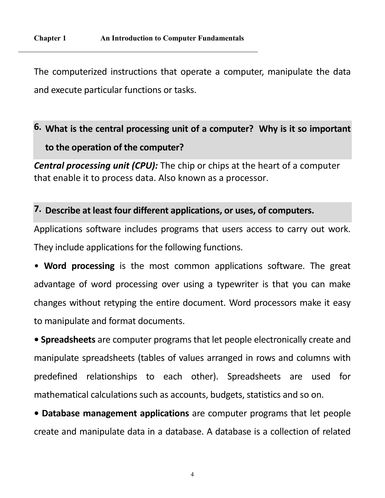The computerized instructions that operate a computer, manipulate the data and execute particular functions or tasks.

# **6. What is the central processing unit of a computer? Why is it so important to the operation of the computer?**

*Central processing unit (CPU):* The chip or chips at the heart of a computer that enable it to process data. Also known as a processor.

### **7. Describe at least four different applications, or uses, of computers.**

Applications software includes programs that users access to carry out work. They include applications for the following functions.

• **Word processing** is the most common applications software. The great advantage of word processing over using a typewriter is that you can make changes without retyping the entire document. Word processors make it easy to manipulate and format documents.

**• Spreadsheets** are computer programs that let people electronically create and manipulate spreadsheets (tables of values arranged in rows and columns with predefined relationships to each other). Spreadsheets are used for mathematical calculations such as accounts, budgets, statistics and so on.

**• Database management applications** are computer programs that let people create and manipulate data in a database. A database is a collection of related

4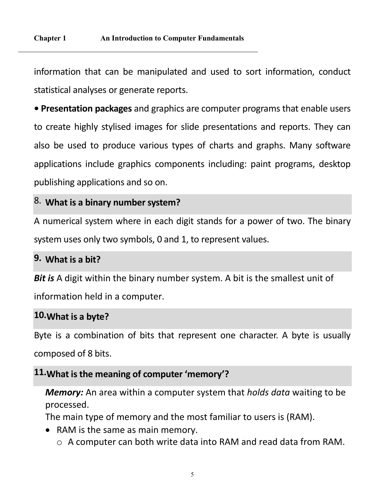information that can be manipulated and used to sort information, conduct statistical analyses or generate reports.

**• Presentation packages** and graphics are computer programs that enable users to create highly stylised images for slide presentations and reports. They can also be used to produce various types of charts and graphs. Many software applications include graphics components including: paint programs, desktop publishing applications and so on.

# 8. **What is a binary number system?**

A numerical system where in each digit stands for a power of two. The binary system uses only two symbols, 0 and 1, to represent values.

# **9. What is a bit?**

**Bit is** A digit within the binary number system. A bit is the smallest unit of information held in a computer.

### **10.What is a byte?**

Byte is a combination of bits that represent one character. A byte is usually composed of 8 bits.

## **11.What is the meaning of computer 'memory'?**

*Memory:* An area within a computer system that *holds data* waiting to be processed.

The main type of memory and the most familiar to users is (RAM).

- RAM is the same as main memory.
	- o A computer can both write data into RAM and read data from RAM.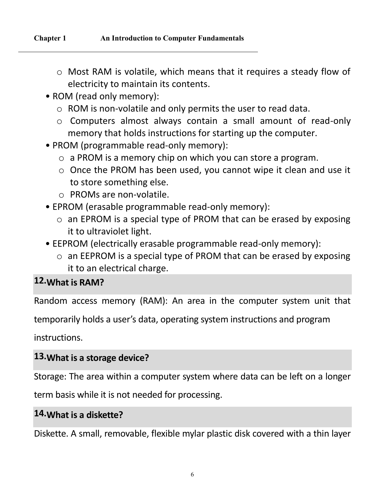- o Most RAM is volatile, which means that it requires a steady flow of electricity to maintain its contents.
- ROM (read only memory):
	- o ROM is non-volatile and only permits the user to read data.
	- o Computers almost always contain a small amount of read-only memory that holds instructions for starting up the computer.
- PROM (programmable read-only memory):
	- o a PROM is a memory chip on which you can store a program.
	- o Once the PROM has been used, you cannot wipe it clean and use it to store something else.
	- o PROMs are non-volatile.
- EPROM (erasable programmable read-only memory):
	- o an EPROM is a special type of PROM that can be erased by exposing it to ultraviolet light.
- EEPROM (electrically erasable programmable read-only memory):
	- o an EEPROM is a special type of PROM that can be erased by exposing it to an electrical charge.

# **12.What is RAM?**

Random access memory (RAM): An area in the computer system unit that

temporarily holds a user's data, operating system instructions and program

instructions.

# **13.What is a storage device?**

Storage: The area within a computer system where data can be left on a longer

term basis while it is not needed for processing.

# **14.What is a diskette?**

Diskette. A small, removable, flexible mylar plastic disk covered with a thin layer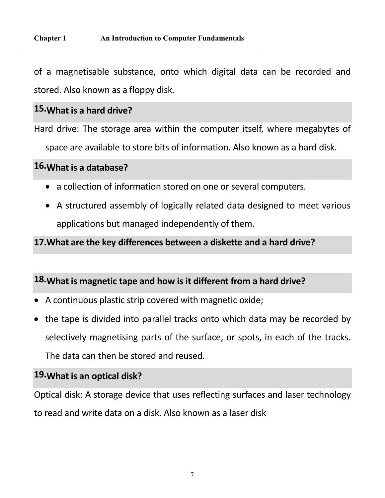of a magnetisable substance, onto which digital data can be recorded and stored. Also known as a floppy disk.

### **15.What is a hard drive?**

Hard drive: The storage area within the computer itself, where megabytes of

space are available to store bits of information. Also known as a hard disk.

# **16.What is a database?**

- a collection of information stored on one or several computers.
- A structured assembly of logically related data designed to meet various applications but managed independently of them.

### **17.What are the key differences between a diskette and a hard drive?**

# **18.What is magnetic tape and how is it different from a hard drive?**

- A continuous plastic strip covered with magnetic oxide;
- the tape is divided into parallel tracks onto which data may be recorded by selectively magnetising parts of the surface, or spots, in each of the tracks. The data can then be stored and reused.

# **19.What is an optical disk?**

Optical disk: A storage device that uses reflecting surfaces and laser technology to read and write data on a disk. Also known as a laser disk